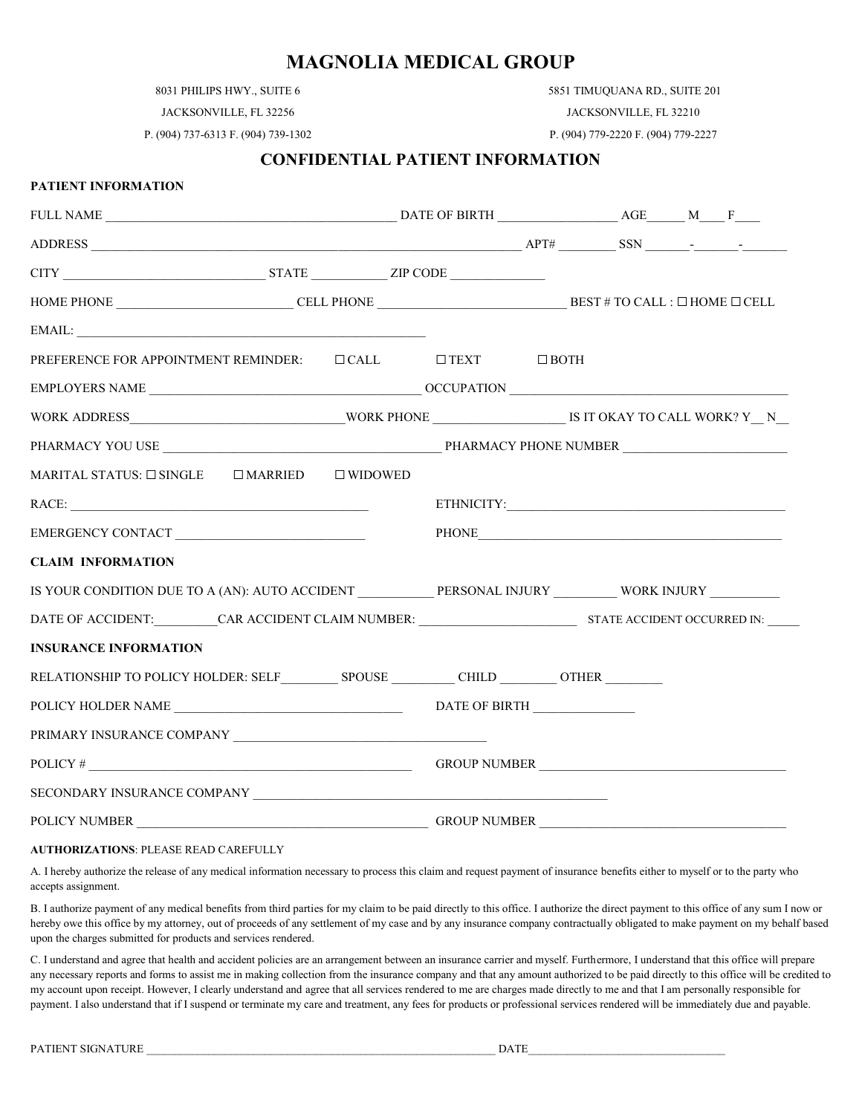8031 PHILIPS HWY., SUITE 6

5851 TIMUQUANA RD., SUITE 201

JACKSONVILLE, FL 32256

P. (904) 737-6313 F. (904) 739-1302

**PATIENT INFORMATION**

JACKSONVILLE, FL 32210 P. (904) 779-2220 F. (904) 779-2227

#### **CONFIDENTIAL PATIENT INFORMATION**

| $ADDRESS$ $APT#$ $SSN$ $-SSN$                                                                                                                                                                                                                                                                 |                   |                                                                                                                                                                                                                                |  |  |
|-----------------------------------------------------------------------------------------------------------------------------------------------------------------------------------------------------------------------------------------------------------------------------------------------|-------------------|--------------------------------------------------------------------------------------------------------------------------------------------------------------------------------------------------------------------------------|--|--|
|                                                                                                                                                                                                                                                                                               |                   |                                                                                                                                                                                                                                |  |  |
| $\textbf{HOME PHONE} \textcolor{red}{_\textbf{L}} \textbf{CELL PHONE} \textcolor{red}{_\textbf{L}} \textbf{CELL PHONE} \textcolor{red}{_\textbf{L}} \textbf{D} \textbf{BEST # TO CALL}: \textcolor{red}{\Box} \textbf{HOME} \textcolor{red}{\Box} \textbf{CELL} \textcolor{red}{_\textbf{L}}$ |                   |                                                                                                                                                                                                                                |  |  |
|                                                                                                                                                                                                                                                                                               |                   |                                                                                                                                                                                                                                |  |  |
| PREFERENCE FOR APPOINTMENT REMINDER: □ CALL □ TEXT □ BOTH                                                                                                                                                                                                                                     |                   |                                                                                                                                                                                                                                |  |  |
|                                                                                                                                                                                                                                                                                               |                   |                                                                                                                                                                                                                                |  |  |
|                                                                                                                                                                                                                                                                                               |                   |                                                                                                                                                                                                                                |  |  |
|                                                                                                                                                                                                                                                                                               |                   |                                                                                                                                                                                                                                |  |  |
| MARITAL STATUS: $\square$ SINGLE $\square$ MARRIED                                                                                                                                                                                                                                            | $\square$ WIDOWED |                                                                                                                                                                                                                                |  |  |
|                                                                                                                                                                                                                                                                                               |                   |                                                                                                                                                                                                                                |  |  |
|                                                                                                                                                                                                                                                                                               |                   | PHONE THE CONSTRUCTION OF THE CONSTRUCTION OF THE CONSTRUCTION OF THE CONSTRUCTION OF THE CONSTRUCTION OF THE CONSTRUCTION OF THE CONSTRUCTION OF THE CONSTRUCTION OF THE CONSTRUCTION OF THE CONSTRUCTION OF THE CONSTRUCTION |  |  |
| <b>CLAIM INFORMATION</b>                                                                                                                                                                                                                                                                      |                   |                                                                                                                                                                                                                                |  |  |
| IS YOUR CONDITION DUE TO A (AN): AUTO ACCIDENT PERSONAL INJURY WORK INJURY                                                                                                                                                                                                                    |                   |                                                                                                                                                                                                                                |  |  |
| DATE OF ACCIDENT: CAR ACCIDENT CLAIM NUMBER: STATE ACCIDENT OCCURRED IN:                                                                                                                                                                                                                      |                   |                                                                                                                                                                                                                                |  |  |
| <b>INSURANCE INFORMATION</b>                                                                                                                                                                                                                                                                  |                   |                                                                                                                                                                                                                                |  |  |
| RELATIONSHIP TO POLICY HOLDER: SELF SPOUSE CHILD OTHER                                                                                                                                                                                                                                        |                   |                                                                                                                                                                                                                                |  |  |
|                                                                                                                                                                                                                                                                                               |                   |                                                                                                                                                                                                                                |  |  |
|                                                                                                                                                                                                                                                                                               |                   |                                                                                                                                                                                                                                |  |  |
|                                                                                                                                                                                                                                                                                               |                   |                                                                                                                                                                                                                                |  |  |
| SECONDARY INSURANCE COMPANY LETTER AND THE RESERVE OF A SECONDARY LETTER OF A SECOND AREA OF A SECOND AND THE SECOND AND SECOND ASSESSMENT OF A SECOND AND SECOND ASSESSMENT OF A SECOND AND SECOND ASSESSMENT OF A SECOND AND                                                                |                   |                                                                                                                                                                                                                                |  |  |
|                                                                                                                                                                                                                                                                                               |                   |                                                                                                                                                                                                                                |  |  |

#### **AUTHORIZATIONS**: PLEASE READ CAREFULLY

A. I hereby authorize the release of any medical information necessary to process this claim and request payment of insurance benefits either to myself or to the party who accepts assignment.

B. I authorize payment of any medical benefits from third parties for my claim to be paid directly to this office. I authorize the direct payment to this office of any sum I now or hereby owe this office by my attorney, out of proceeds of any settlement of my case and by any insurance company contractually obligated to make payment on my behalf based upon the charges submitted for products and services rendered.

C. I understand and agree that health and accident policies are an arrangement between an insurance carrier and myself. Furthermore, I understand that this office will prepare any necessary reports and forms to assist me in making collection from the insurance company and that any amount authorized to be paid directly to this office will be credited to my account upon receipt. However, I clearly understand and agree that all services rendered to me are charges made directly to me and that I am personally responsible for payment. I also understand that if I suspend or terminate my care and treatment, any fees for products or professional services rendered will be immediately due and payable.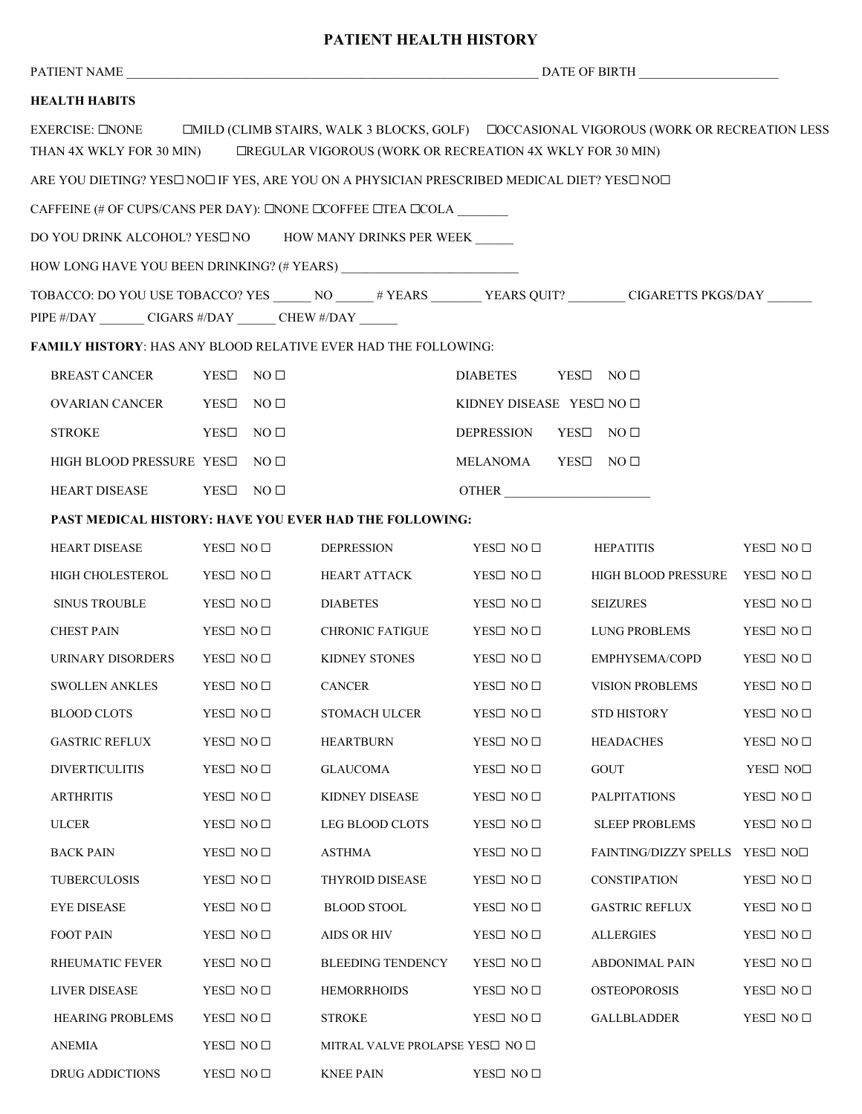### **PATIENT HEALTH HISTORY**

| <b>HEALTH HABITS</b>                                                                                         |                            |                                                        |                        |                                                                                                                        |                            |
|--------------------------------------------------------------------------------------------------------------|----------------------------|--------------------------------------------------------|------------------------|------------------------------------------------------------------------------------------------------------------------|----------------------------|
| EXERCISE: <b>ENONE</b><br>THAN 4X WKLY FOR 30 MIN) EREGULAR VIGOROUS (WORK OR RECREATION 4X WKLY FOR 30 MIN) |                            |                                                        |                        | □MILD (CLIMB STAIRS, WALK 3 BLOCKS, GOLF) □ ○ ○ CCASIONAL VIGOROUS (WORK OR RECREATION LESS                            |                            |
| ARE YOU DIETING? YES□ NO□ IF YES, ARE YOU ON A PHYSICIAN PRESCRIBED MEDICAL DIET? YES□ NO□                   |                            |                                                        |                        |                                                                                                                        |                            |
| CAFFEINE (# OF CUPS/CANS PER DAY): $\square$ NONE $\square$ COFFEE $\square$ TEA $\square$ COLA              |                            |                                                        |                        |                                                                                                                        |                            |
| DO YOU DRINK ALCOHOL? YES□ NO HOW MANY DRINKS PER WEEK                                                       |                            |                                                        |                        |                                                                                                                        |                            |
|                                                                                                              |                            |                                                        |                        |                                                                                                                        |                            |
| PIPE #/DAY __________ CIGARS #/DAY ________ CHEW #/DAY _______                                               |                            |                                                        |                        | TOBACCO: DO YOU USE TOBACCO? YES _______ NO _______# YEARS _________ YEARS QUIT? __________ CIGARETTS PKGS/DAY _______ |                            |
| <b>FAMILY HISTORY: HAS ANY BLOOD RELATIVE EVER HAD THE FOLLOWING:</b>                                        |                            |                                                        |                        |                                                                                                                        |                            |
| <b>BREAST CANCER</b>                                                                                         | YES $\square$ NO $\square$ |                                                        | DIABETES YES□ NO □     |                                                                                                                        |                            |
| OVARIAN CANCER                                                                                               | YES $\square$ NO $\square$ |                                                        | KIDNEY DISEASE YES NO  |                                                                                                                        |                            |
| <b>STROKE</b>                                                                                                | YES□<br>NO <sub>1</sub>    |                                                        | <b>DEPRESSION</b>      | $YES\square$ NO $\square$                                                                                              |                            |
| HIGH BLOOD PRESSURE YESI                                                                                     | NO <sub>1</sub>            |                                                        | MELANOMA YES $\square$ | NO <sub>1</sub>                                                                                                        |                            |
| HEART DISEASE                                                                                                | YES□ NO □                  |                                                        |                        | OTHER                                                                                                                  |                            |
|                                                                                                              |                            | PAST MEDICAL HISTORY: HAVE YOU EVER HAD THE FOLLOWING: |                        |                                                                                                                        |                            |
| <b>HEART DISEASE</b>                                                                                         | YES□ NO □                  | <b>DEPRESSION</b>                                      | YES□ NO □              | <b>HEPATITIS</b>                                                                                                       | YES□ NO □                  |
| HIGH CHOLESTEROL                                                                                             | YES□ NO □                  | HEART ATTACK                                           | YES□ NO □              | HIGH BLOOD PRESSURE YES NO                                                                                             |                            |
| <b>SINUS TROUBLE</b>                                                                                         | YES□ NO □                  | <b>DIABETES</b>                                        | YES□ NO □              | <b>SEIZURES</b>                                                                                                        | YES□ NO □                  |
| <b>CHEST PAIN</b>                                                                                            | YES $\square$ NO $\square$ | <b>CHRONIC FATIGUE</b>                                 | YES□ NO □              | <b>LUNG PROBLEMS</b>                                                                                                   | YES□ NO □                  |
| URINARY DISORDERS                                                                                            | YES□ NO □                  | KIDNEY STONES                                          | YES□ NO □              | EMPHYSEMA/COPD                                                                                                         | YES□ NO □                  |
| <b>SWOLLEN ANKLES</b>                                                                                        | YES□ NO □                  | CANCER                                                 | YES□ NO □              | VISION PROBLEMS                                                                                                        | YES□ NO □                  |
| <b>BLOOD CLOTS</b>                                                                                           | YES□ NO □                  | <b>STOMACH ULCER</b>                                   | YES□ NO □              | <b>STD HISTORY</b>                                                                                                     | YES□ NO □                  |
| <b>GASTRIC REFLUX</b>                                                                                        | YES□ NO □                  | <b>HEARTBURN</b>                                       | YES□ NO □              | <b>HEADACHES</b>                                                                                                       | YES $\square$ NO $\square$ |
| <b>DIVERTICULITIS</b>                                                                                        | YES $\square$ NO $\square$ | <b>GLAUCOMA</b>                                        | YES□ NO □              | <b>GOUT</b>                                                                                                            | YES□ NO□                   |
| <b>ARTHRITIS</b>                                                                                             | YES□ NO □                  | KIDNEY DISEASE                                         | YES□ NO □              | <b>PALPITATIONS</b>                                                                                                    | YES□ NO □                  |
| <b>ULCER</b>                                                                                                 | YES $\square$ NO $\square$ | LEG BLOOD CLOTS                                        | YES□ NO □              | <b>SLEEP PROBLEMS</b>                                                                                                  | YES□ NO □                  |
| <b>BACK PAIN</b>                                                                                             | YES□ NO □                  | <b>ASTHMA</b>                                          | YES□ NO □              | <b>FAINTING/DIZZY SPELLS</b>                                                                                           | YES□ NO□                   |
| <b>TUBERCULOSIS</b>                                                                                          | YES□ NO □                  | <b>THYROID DISEASE</b>                                 | YES□ NO □              | <b>CONSTIPATION</b>                                                                                                    | YES□ NO □                  |
| <b>EYE DISEASE</b>                                                                                           | YES□ NO □                  | $\operatorname{BLOOD}$ STOOL                           | YES□ NO □              | <b>GASTRIC REFLUX</b>                                                                                                  | YES□ NO □                  |
| <b>FOOT PAIN</b>                                                                                             | YES□ NO □                  | <b>AIDS OR HIV</b>                                     | YES□ NO □              | <b>ALLERGIES</b>                                                                                                       | YES□ NO □                  |
| RHEUMATIC FEVER                                                                                              | YES $\square$ NO $\square$ | <b>BLEEDING TENDENCY</b>                               | YES□ NO □              | <b>ABDONIMAL PAIN</b>                                                                                                  | YES□ NO □                  |
| <b>LIVER DISEASE</b>                                                                                         | YES□ NO □                  | <b>HEMORRHOIDS</b>                                     | YES□ NO □              | <b>OSTEOPOROSIS</b>                                                                                                    | YES□ NO □                  |
| <b>HEARING PROBLEMS</b>                                                                                      | YES□ NO □                  | <b>STROKE</b>                                          | YES□ NO □              | <b>GALLBLADDER</b>                                                                                                     | YES□ NO □                  |
| <b>ANEMIA</b>                                                                                                | YES $\square$ NO $\square$ | MITRAL VALVE PROLAPSE YES□ NO □                        |                        |                                                                                                                        |                            |
| DRUG ADDICTIONS                                                                                              | YES□ NO □                  | <b>KNEE PAIN</b>                                       | YES□ NO □              |                                                                                                                        |                            |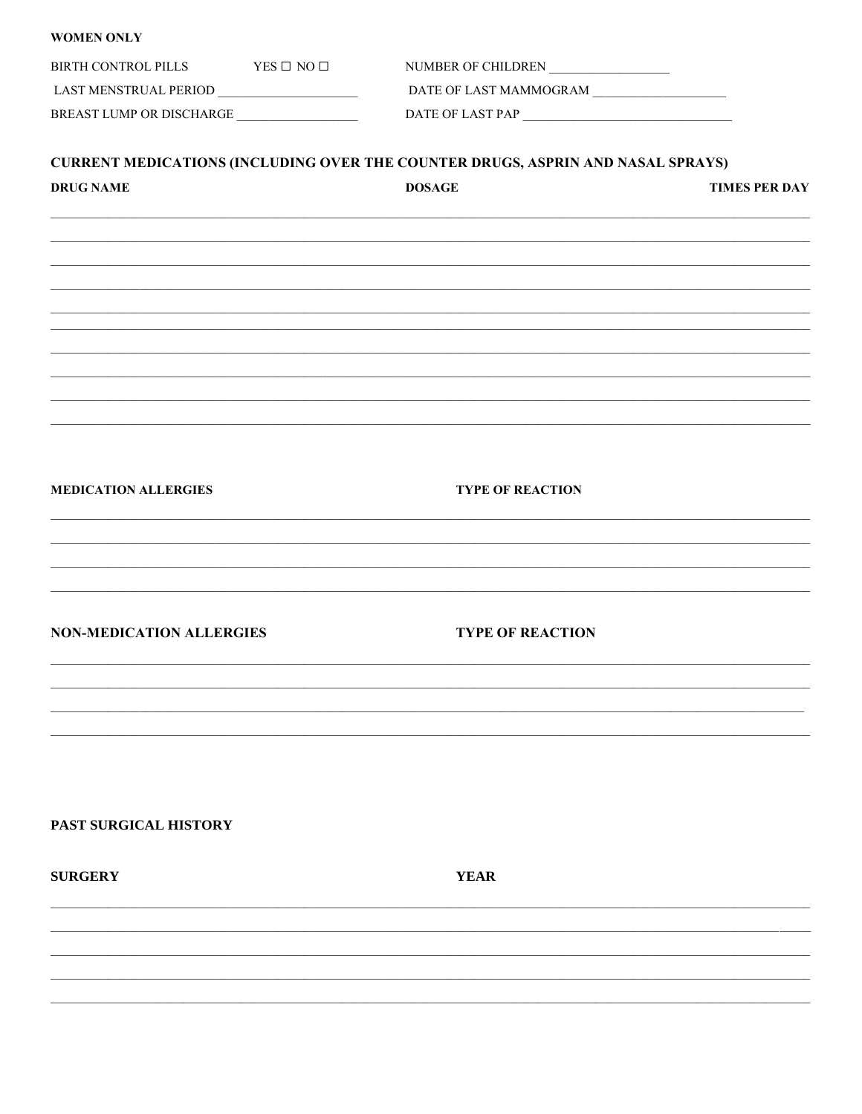| <b>WOMEN ONLY</b>                        |                                                                                        |                      |
|------------------------------------------|----------------------------------------------------------------------------------------|----------------------|
| BIRTH CONTROL PILLS YES $\Box$ NO $\Box$ | NUMBER OF CHILDREN                                                                     |                      |
|                                          |                                                                                        |                      |
| BREAST LUMP OR DISCHARGE                 |                                                                                        |                      |
|                                          | <b>CURRENT MEDICATIONS (INCLUDING OVER THE COUNTER DRUGS, ASPRIN AND NASAL SPRAYS)</b> |                      |
| <b>DRUG NAME</b>                         | <b>DOSAGE</b>                                                                          | <b>TIMES PER DAY</b> |
|                                          |                                                                                        |                      |
|                                          |                                                                                        |                      |
|                                          |                                                                                        |                      |
|                                          |                                                                                        |                      |
|                                          |                                                                                        |                      |
|                                          |                                                                                        |                      |
|                                          |                                                                                        |                      |
|                                          |                                                                                        |                      |
| <b>MEDICATION ALLERGIES</b>              | <b>TYPE OF REACTION</b>                                                                |                      |
|                                          |                                                                                        |                      |
|                                          | ,我们也不能在这里的人,我们也不能在这里的人,我们也不能在这里的人,我们也不能在这里的人,我们也不能在这里的人,我们也不能在这里的人,我们也不能在这里的人,我们也      |                      |
|                                          |                                                                                        |                      |
| <b>NON-MEDICATION ALLERGIES</b>          | <b>TYPE OF REACTION</b>                                                                |                      |
|                                          |                                                                                        |                      |
|                                          |                                                                                        |                      |
|                                          |                                                                                        |                      |
|                                          |                                                                                        |                      |
|                                          |                                                                                        |                      |
| PAST SURGICAL HISTORY                    |                                                                                        |                      |
| <b>SURGERY</b>                           | <b>YEAR</b>                                                                            |                      |
|                                          |                                                                                        |                      |
|                                          |                                                                                        |                      |
|                                          |                                                                                        |                      |
|                                          |                                                                                        |                      |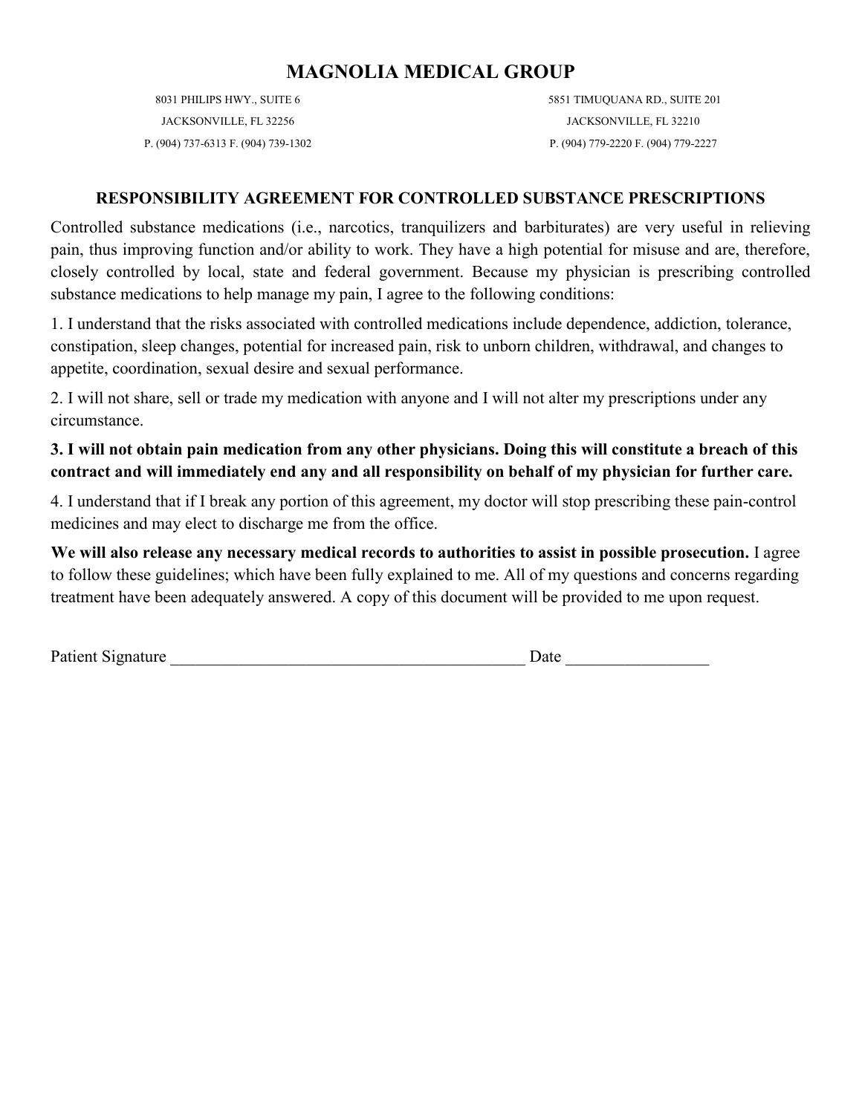8031 PHILIPS HWY., SUITE 6 JACKSONVILLE, FL 32256 P. (904) 737-6313 F. (904) 739-1302 5851 TIMUQUANA RD., SUITE 201 JACKSONVILLE, FL 32210 P. (904) 779-2220 F. (904) 779-2227

### **RESPONSIBILITY AGREEMENT FOR CONTROLLED SUBSTANCE PRESCRIPTIONS**

Controlled substance medications (i.e., narcotics, tranquilizers and barbiturates) are very useful in relieving pain, thus improving function and/or ability to work. They have a high potential for misuse and are, therefore, closely controlled by local, state and federal government. Because my physician is prescribing controlled substance medications to help manage my pain, I agree to the following conditions:

1. I understand that the risks associated with controlled medications include dependence, addiction, tolerance, constipation, sleep changes, potential for increased pain, risk to unborn children, withdrawal, and changes to appetite, coordination, sexual desire and sexual performance.

2. I will not share, sell or trade my medication with anyone and I will not alter my prescriptions under any circumstance.

# **3. I will not obtain pain medication from any other physicians. Doing this will constitute a breach of this contract and will immediately end any and all responsibility on behalf of my physician for further care.**

4. I understand that if I break any portion of this agreement, my doctor will stop prescribing these pain-control medicines and may elect to discharge me from the office.

**We will also release any necessary medical records to authorities to assist in possible prosecution.** I agree to follow these guidelines; which have been fully explained to me. All of my questions and concerns regarding treatment have been adequately answered. A copy of this document will be provided to me upon request.

Patient Signature Date Date Date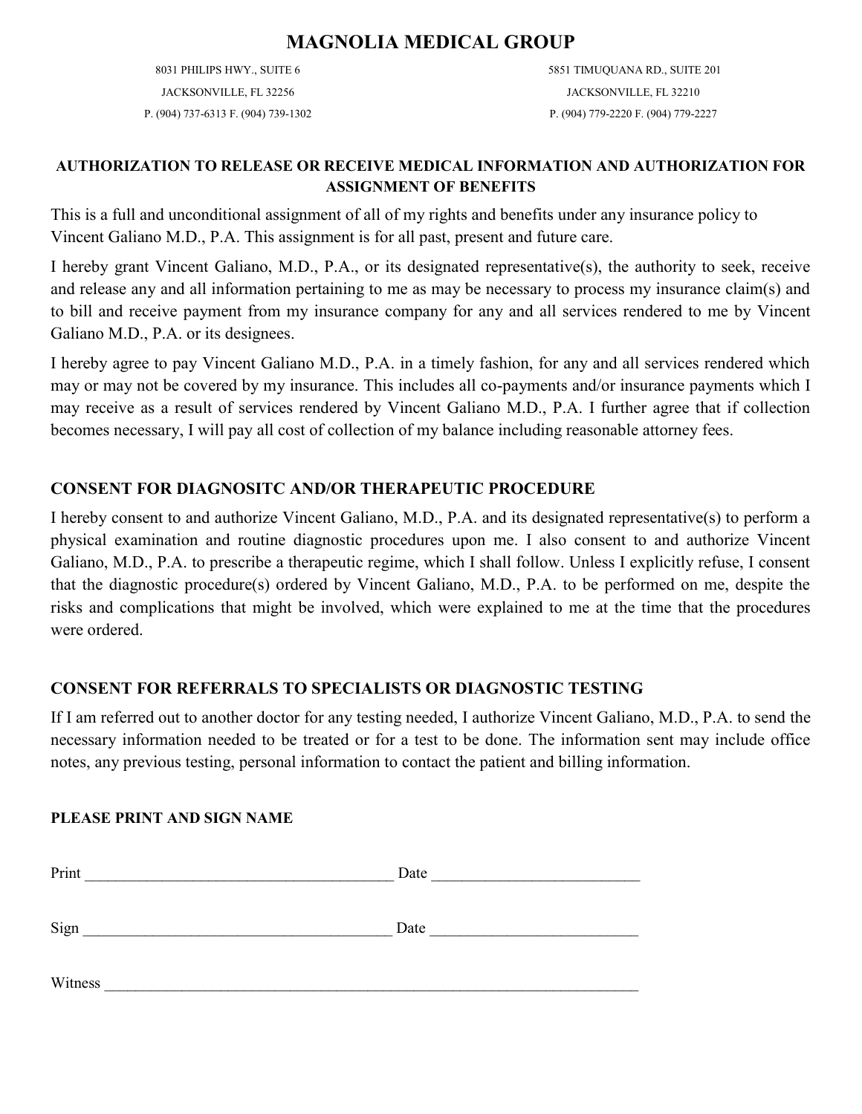8031 PHILIPS HWY., SUITE 6 JACKSONVILLE, FL 32256 P. (904) 737-6313 F. (904) 739-1302 5851 TIMUQUANA RD., SUITE 201 JACKSONVILLE, FL 32210 P. (904) 779-2220 F. (904) 779-2227

### **AUTHORIZATION TO RELEASE OR RECEIVE MEDICAL INFORMATION AND AUTHORIZATION FOR ASSIGNMENT OF BENEFITS**

This is a full and unconditional assignment of all of my rights and benefits under any insurance policy to Vincent Galiano M.D., P.A. This assignment is for all past, present and future care.

I hereby grant Vincent Galiano, M.D., P.A., or its designated representative(s), the authority to seek, receive and release any and all information pertaining to me as may be necessary to process my insurance claim(s) and to bill and receive payment from my insurance company for any and all services rendered to me by Vincent Galiano M.D., P.A. or its designees.

I hereby agree to pay Vincent Galiano M.D., P.A. in a timely fashion, for any and all services rendered which may or may not be covered by my insurance. This includes all co-payments and/or insurance payments which I may receive as a result of services rendered by Vincent Galiano M.D., P.A. I further agree that if collection becomes necessary, I will pay all cost of collection of my balance including reasonable attorney fees.

# **CONSENT FOR DIAGNOSITC AND/OR THERAPEUTIC PROCEDURE**

I hereby consent to and authorize Vincent Galiano, M.D., P.A. and its designated representative(s) to perform a physical examination and routine diagnostic procedures upon me. I also consent to and authorize Vincent Galiano, M.D., P.A. to prescribe a therapeutic regime, which I shall follow. Unless I explicitly refuse, I consent that the diagnostic procedure(s) ordered by Vincent Galiano, M.D., P.A. to be performed on me, despite the risks and complications that might be involved, which were explained to me at the time that the procedures were ordered.

# **CONSENT FOR REFERRALS TO SPECIALISTS OR DIAGNOSTIC TESTING**

If I am referred out to another doctor for any testing needed, I authorize Vincent Galiano, M.D., P.A. to send the necessary information needed to be treated or for a test to be done. The information sent may include office notes, any previous testing, personal information to contact the patient and billing information.

### **PLEASE PRINT AND SIGN NAME**

| Print   | Date |
|---------|------|
|         |      |
| Sign    | Date |
|         |      |
| Witness |      |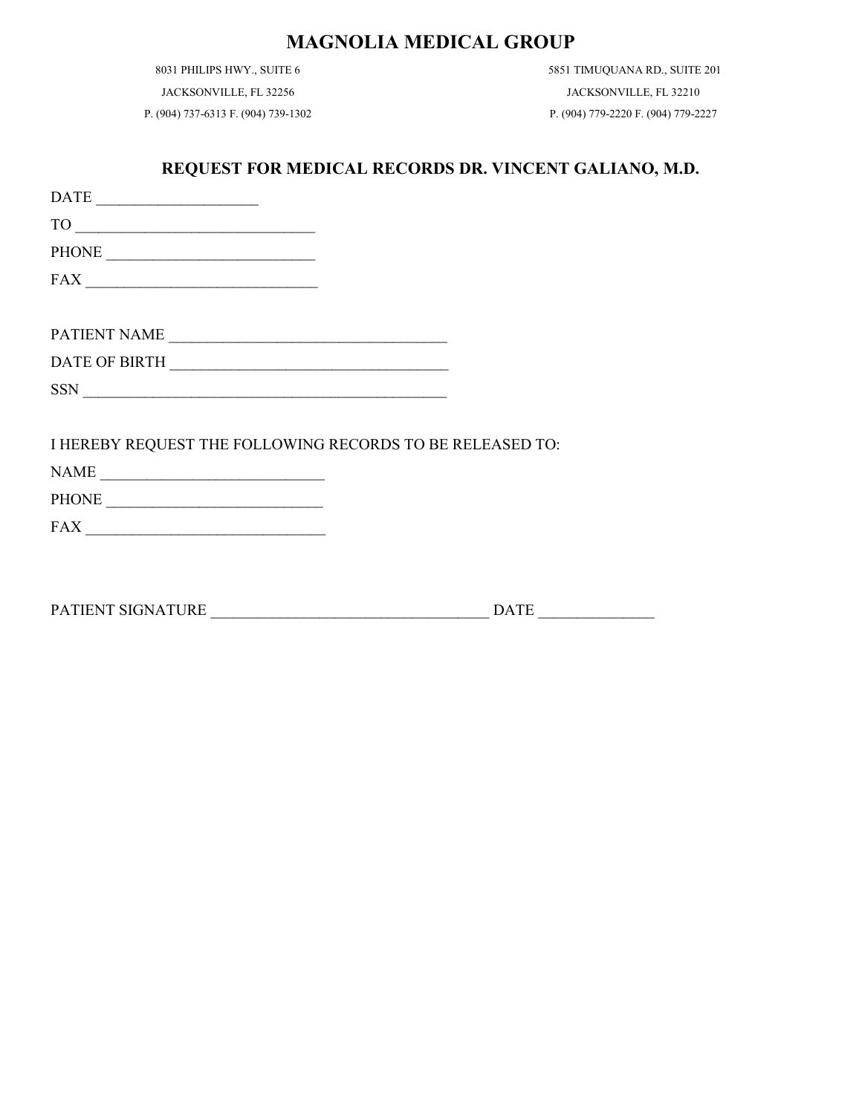8031 PHILIPS HWY., SUITE 6

JACKSONVILLE, FL 32256

P. (904) 737-6313 F. (904) 739-1302

5851 TIMUQUANA RD., SUITE 201 JACKSONVILLE, FL 32210 P. (904) 779-2220 F. (904) 779-2227

### **REQUEST FOR MEDICAL RECORDS DR. VINCENT GALIANO, M.D.**

| $\begin{tabular}{c} DATE \end{tabular} \begin{tabular}{@{}c@{}} \quad {\footnotesize \quad \quad \quad } \\ \hline \end{tabular}$                                                                                                                                                                                                                                                                                                                                                                                         |  |
|---------------------------------------------------------------------------------------------------------------------------------------------------------------------------------------------------------------------------------------------------------------------------------------------------------------------------------------------------------------------------------------------------------------------------------------------------------------------------------------------------------------------------|--|
| $TO \t 20$                                                                                                                                                                                                                                                                                                                                                                                                                                                                                                                |  |
|                                                                                                                                                                                                                                                                                                                                                                                                                                                                                                                           |  |
| $\textbf{FAX} \underline{\hspace{2cm}} \underline{\hspace{2cm}}$                                                                                                                                                                                                                                                                                                                                                                                                                                                          |  |
|                                                                                                                                                                                                                                                                                                                                                                                                                                                                                                                           |  |
| PATIENT NAME                                                                                                                                                                                                                                                                                                                                                                                                                                                                                                              |  |
|                                                                                                                                                                                                                                                                                                                                                                                                                                                                                                                           |  |
| $\boxed{\text{SSN}}$                                                                                                                                                                                                                                                                                                                                                                                                                                                                                                      |  |
|                                                                                                                                                                                                                                                                                                                                                                                                                                                                                                                           |  |
| I HEREBY REQUEST THE FOLLOWING RECORDS TO BE RELEASED TO:                                                                                                                                                                                                                                                                                                                                                                                                                                                                 |  |
|                                                                                                                                                                                                                                                                                                                                                                                                                                                                                                                           |  |
|                                                                                                                                                                                                                                                                                                                                                                                                                                                                                                                           |  |
| $\textbf{FAX} \xrightarrow{\hspace{0.5cm}} \textcolor{red}{\textbf{AA} \xrightarrow{\hspace{0.5cm}} \textbf{AA} \xrightarrow{\hspace{0.5cm}} \textbf{AA} \xrightarrow{\hspace{0.5cm}} \textbf{AA} \xrightarrow{\hspace{0.5cm}} \textbf{AA} \xrightarrow{\hspace{0.5cm}} \textbf{AA} \xrightarrow{\hspace{0.5cm}} \textbf{AA} \xrightarrow{\hspace{0.5cm}} \textbf{AA} \xrightarrow{\hspace{0.5cm}} \textbf{AA} \xrightarrow{\hspace{0.5cm}} \textbf{AA} \xrightarrow{\hspace{0.5cm}} \textbf{AA} \xrightarrow{\hspace{0.$ |  |
|                                                                                                                                                                                                                                                                                                                                                                                                                                                                                                                           |  |
|                                                                                                                                                                                                                                                                                                                                                                                                                                                                                                                           |  |

PATIENT SIGNATURE \_\_\_\_\_\_\_\_\_\_\_\_\_\_\_\_\_\_\_\_\_\_\_\_\_\_\_\_\_\_\_\_\_\_\_\_ DATE \_\_\_\_\_\_\_\_\_\_\_\_\_\_\_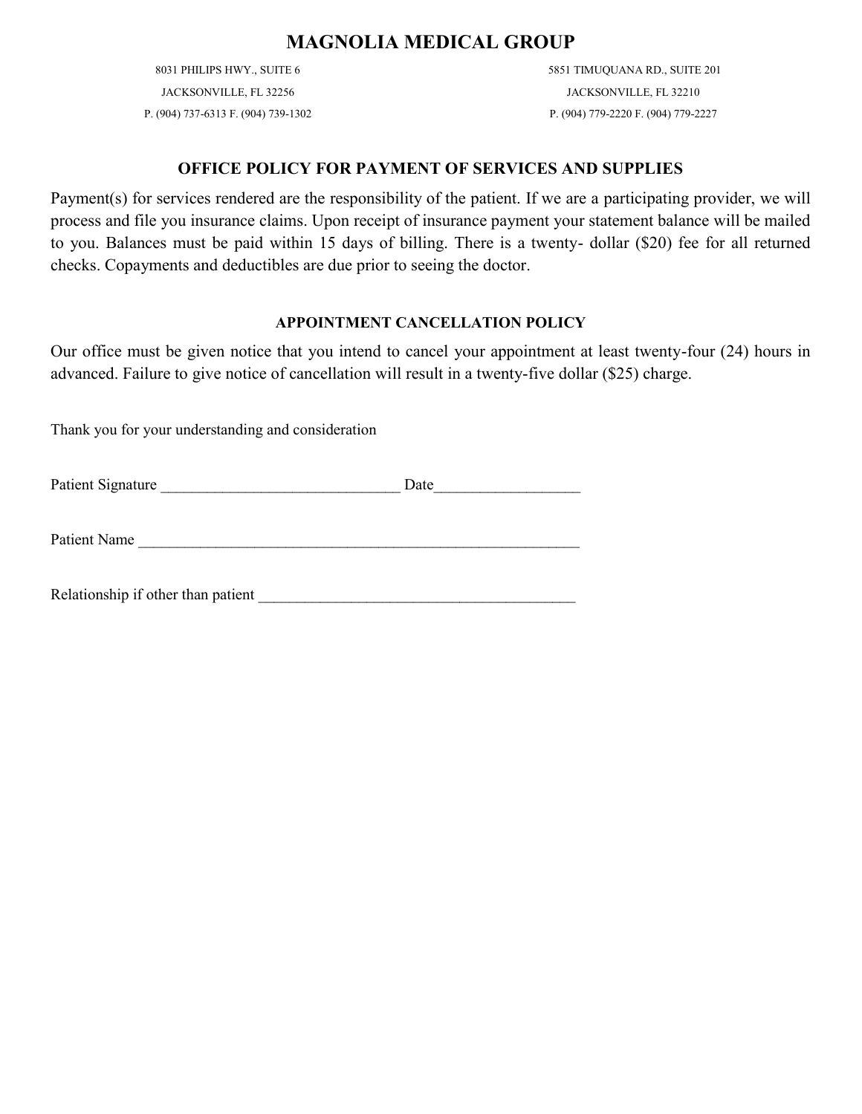8031 PHILIPS HWY., SUITE 6 JACKSONVILLE, FL 32256 P. (904) 737-6313 F. (904) 739-1302 5851 TIMUQUANA RD., SUITE 201 JACKSONVILLE, FL 32210 P. (904) 779-2220 F. (904) 779-2227

### **OFFICE POLICY FOR PAYMENT OF SERVICES AND SUPPLIES**

Payment(s) for services rendered are the responsibility of the patient. If we are a participating provider, we will process and file you insurance claims. Upon receipt of insurance payment your statement balance will be mailed to you. Balances must be paid within 15 days of billing. There is a twenty- dollar (\$20) fee for all returned checks. Copayments and deductibles are due prior to seeing the doctor.

### **APPOINTMENT CANCELLATION POLICY**

Our office must be given notice that you intend to cancel your appointment at least twenty-four (24) hours in advanced. Failure to give notice of cancellation will result in a twenty-five dollar (\$25) charge.

Thank you for your understanding and consideration

Patient Signature \_\_\_\_\_\_\_\_\_\_\_\_\_\_\_\_\_\_\_\_\_\_\_\_\_\_\_\_\_\_\_ Date\_\_\_\_\_\_\_\_\_\_\_\_\_\_\_\_\_\_\_

Patient Name

Relationship if other than patient \_\_\_\_\_\_\_\_\_\_\_\_\_\_\_\_\_\_\_\_\_\_\_\_\_\_\_\_\_\_\_\_\_\_\_\_\_\_\_\_\_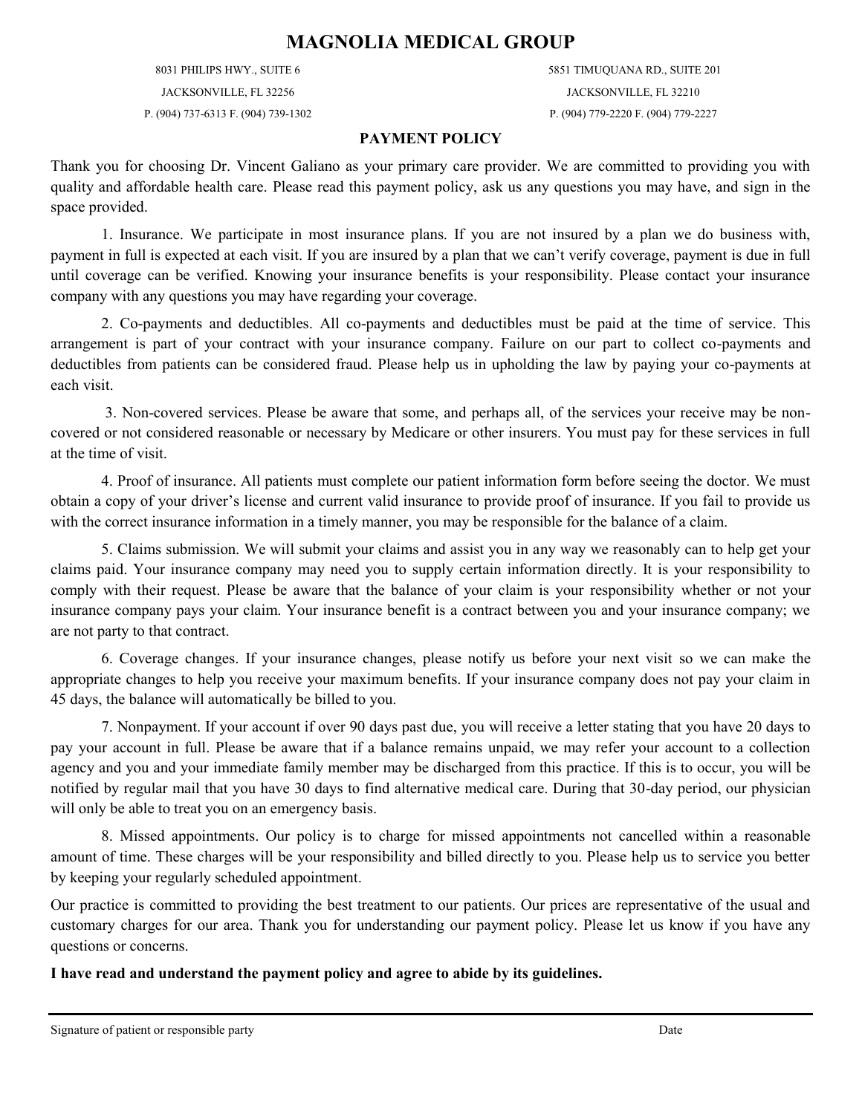8031 PHILIPS HWY., SUITE 6 JACKSONVILLE, FL 32256

P. (904) 737-6313 F. (904) 739-1302

5851 TIMUQUANA RD., SUITE 201 JACKSONVILLE, FL 32210 P. (904) 779-2220 F. (904) 779-2227

### **PAYMENT POLICY**

Thank you for choosing Dr. Vincent Galiano as your primary care provider. We are committed to providing you with quality and affordable health care. Please read this payment policy, ask us any questions you may have, and sign in the space provided.

1. Insurance. We participate in most insurance plans. If you are not insured by a plan we do business with, payment in full is expected at each visit. If you are insured by a plan that we can't verify coverage, payment is due in full until coverage can be verified. Knowing your insurance benefits is your responsibility. Please contact your insurance company with any questions you may have regarding your coverage.

2. Co-payments and deductibles. All co-payments and deductibles must be paid at the time of service. This arrangement is part of your contract with your insurance company. Failure on our part to collect co-payments and deductibles from patients can be considered fraud. Please help us in upholding the law by paying your co-payments at each visit.

3. Non-covered services. Please be aware that some, and perhaps all, of the services your receive may be noncovered or not considered reasonable or necessary by Medicare or other insurers. You must pay for these services in full at the time of visit.

4. Proof of insurance. All patients must complete our patient information form before seeing the doctor. We must obtain a copy of your driver's license and current valid insurance to provide proof of insurance. If you fail to provide us with the correct insurance information in a timely manner, you may be responsible for the balance of a claim.

5. Claims submission. We will submit your claims and assist you in any way we reasonably can to help get your claims paid. Your insurance company may need you to supply certain information directly. It is your responsibility to comply with their request. Please be aware that the balance of your claim is your responsibility whether or not your insurance company pays your claim. Your insurance benefit is a contract between you and your insurance company; we are not party to that contract.

6. Coverage changes. If your insurance changes, please notify us before your next visit so we can make the appropriate changes to help you receive your maximum benefits. If your insurance company does not pay your claim in 45 days, the balance will automatically be billed to you.

7. Nonpayment. If your account if over 90 days past due, you will receive a letter stating that you have 20 days to pay your account in full. Please be aware that if a balance remains unpaid, we may refer your account to a collection agency and you and your immediate family member may be discharged from this practice. If this is to occur, you will be notified by regular mail that you have 30 days to find alternative medical care. During that 30-day period, our physician will only be able to treat you on an emergency basis.

8. Missed appointments. Our policy is to charge for missed appointments not cancelled within a reasonable amount of time. These charges will be your responsibility and billed directly to you. Please help us to service you better by keeping your regularly scheduled appointment.

Our practice is committed to providing the best treatment to our patients. Our prices are representative of the usual and customary charges for our area. Thank you for understanding our payment policy. Please let us know if you have any questions or concerns.

**I have read and understand the payment policy and agree to abide by its guidelines.**